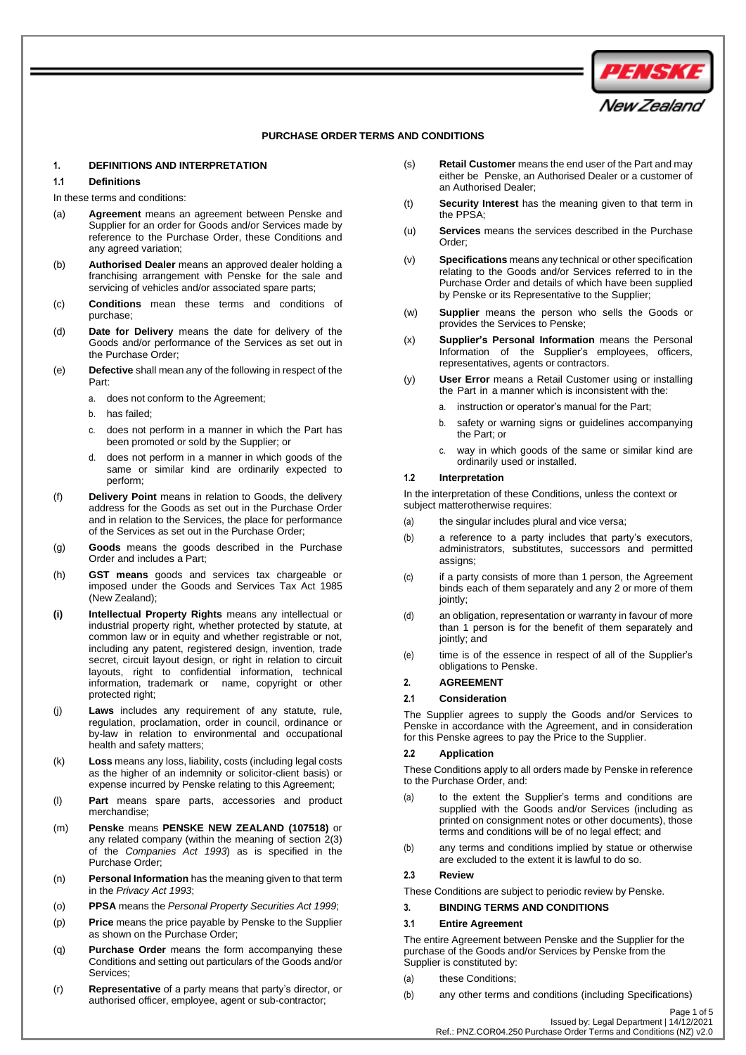

### **PURCHASE ORDER TERMS AND CONDITIONS**

#### **1. DEFINITIONS AND INTERPRETATION**

#### **1.1 Definitions**

In these terms and conditions:

- (a) **Agreement** means an agreement between Penske and Supplier for an order for Goods and/or Services made by reference to the Purchase Order, these Conditions and any agreed variation;
- (b) **Authorised Dealer** means an approved dealer holding a franchising arrangement with Penske for the sale and servicing of vehicles and/or associated spare parts;
- (c) **Conditions** mean these terms and conditions of purchase;
- (d) **Date for Delivery** means the date for delivery of the Goods and/or performance of the Services as set out in the Purchase Order;
- (e) **Defective** shall mean any of the following in respect of the Part:
	- a. does not conform to the Agreement;
	- b. has failed;
	- c. does not perform in a manner in which the Part has been promoted or sold by the Supplier; or
	- d. does not perform in a manner in which goods of the same or similar kind are ordinarily expected to perform;
- (f) **Delivery Point** means in relation to Goods, the delivery address for the Goods as set out in the Purchase Order and in relation to the Services, the place for performance of the Services as set out in the Purchase Order;
- (g) **Goods** means the goods described in the Purchase Order and includes a Part;
- (h) **GST means** goods and services tax chargeable or imposed under the Goods and Services Tax Act 1985 (New Zealand);
- **(i) Intellectual Property Rights** means any intellectual or industrial property right, whether protected by statute, at common law or in equity and whether registrable or not, including any patent, registered design, invention, trade secret, circuit layout design, or right in relation to circuit layouts, right to confidential information, technical information, trademark or name, copyright or other protected right;
- (j) **Laws** includes any requirement of any statute, rule, regulation, proclamation, order in council, ordinance or by-law in relation to environmental and occupational health and safety matters;
- (k) **Loss** means any loss, liability, costs (including legal costs as the higher of an indemnity or solicitor-client basis) or expense incurred by Penske relating to this Agreement;
- (l) **Part** means spare parts, accessories and product merchandise;
- (m) **Penske** means **PENSKE NEW ZEALAND (107518)** or any related company (within the meaning of section 2(3) of the *Companies Act 1993*) as is specified in the Purchase Order;
- (n) **Personal Information** has the meaning given to that term in the *Privacy Act 1993*;
- (o) **PPSA** means the *Personal Property Securities Act 1999*;
- (p) **Price** means the price payable by Penske to the Supplier as shown on the Purchase Order;
- (q) **Purchase Order** means the form accompanying these Conditions and setting out particulars of the Goods and/or Services;
- (r) **Representative** of a party means that party's director, or authorised officer, employee, agent or sub-contractor;
- (s) **Retail Customer** means the end user of the Part and may either be Penske, an Authorised Dealer or a customer of an Authorised Dealer;
- (t) **Security Interest** has the meaning given to that term in the PPSA;
- (u) **Services** means the services described in the Purchase Order;
- (v) **Specifications** means any technical or other specification relating to the Goods and/or Services referred to in the Purchase Order and details of which have been supplied by Penske or its Representative to the Supplier;
- (w) **Supplier** means the person who sells the Goods or provides the Services to Penske;
- (x) **Supplier's Personal Information** means the Personal Information of the Supplier's employees, officers, representatives, agents or contractors.
- (y) **User Error** means a Retail Customer using or installing the Part in a manner which is inconsistent with the:
	- a. instruction or operator's manual for the Part;
	- b. safety or warning signs or guidelines accompanying the Part; or
	- c. way in which goods of the same or similar kind are ordinarily used or installed.

### **1.2 Interpretation**

In the interpretation of these Conditions, unless the context or subject matterotherwise requires:

- (a) the singular includes plural and vice versa;
- (b) a reference to a party includes that party's executors, administrators, substitutes, successors and permitted assigns;
- (c) if a party consists of more than 1 person, the Agreement binds each of them separately and any 2 or more of them iointly:
- (d) an obligation, representation or warranty in favour of more than 1 person is for the benefit of them separately and jointly; and
- (e) time is of the essence in respect of all of the Supplier's obligations to Penske.

## **2. AGREEMENT**

#### **2.1 Consideration**

The Supplier agrees to supply the Goods and/or Services to Penske in accordance with the Agreement, and in consideration for this Penske agrees to pay the Price to the Supplier.

## **2.2 Application**

These Conditions apply to all orders made by Penske in reference to the Purchase Order, and:

- (a) to the extent the Supplier's terms and conditions are supplied with the Goods and/or Services (including as printed on consignment notes or other documents), those terms and conditions will be of no legal effect; and
- (b) any terms and conditions implied by statue or otherwise are excluded to the extent it is lawful to do so.

## **2.3 Review**

These Conditions are subject to periodic review by Penske.

#### **3. BINDING TERMS AND CONDITIONS**

#### **3.1 Entire Agreement**

The entire Agreement between Penske and the Supplier for the purchase of the Goods and/or Services by Penske from the Supplier is constituted by:

- (a) these Conditions;
- (b) any other terms and conditions (including Specifications)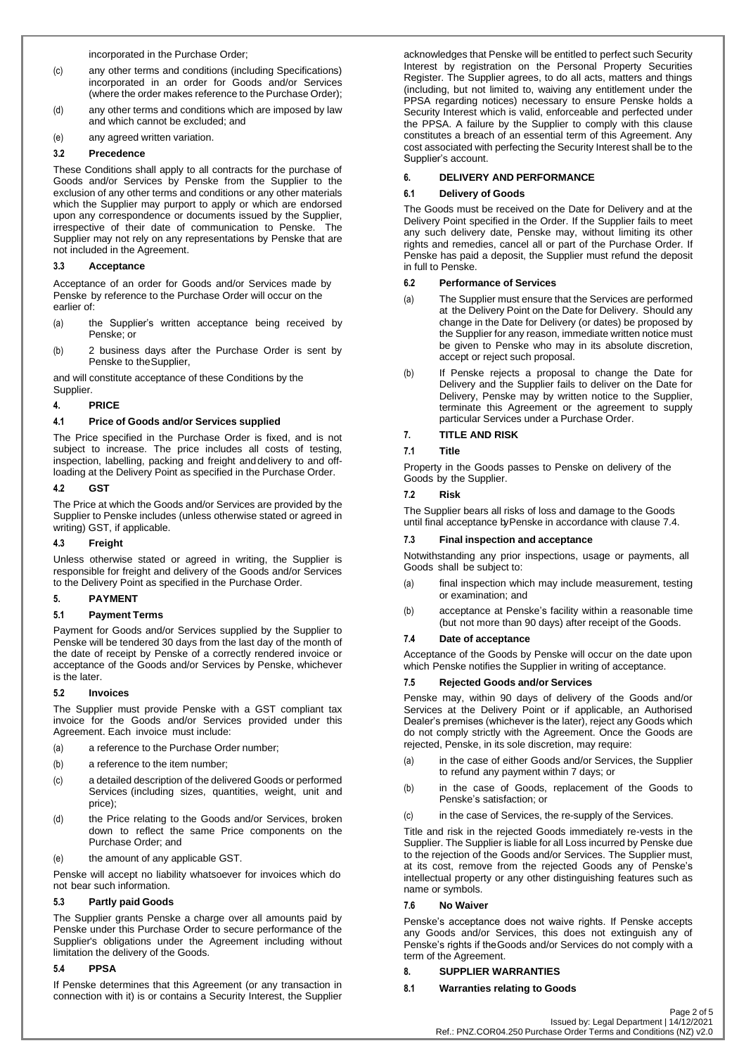incorporated in the Purchase Order;

- (c) any other terms and conditions (including Specifications) incorporated in an order for Goods and/or Services (where the order makes reference to the Purchase Order);
- (d) any other terms and conditions which are imposed by law and which cannot be excluded; and
- (e) any agreed written variation.

## **3.2 Precedence**

These Conditions shall apply to all contracts for the purchase of Goods and/or Services by Penske from the Supplier to the exclusion of any other terms and conditions or any other materials which the Supplier may purport to apply or which are endorsed upon any correspondence or documents issued by the Supplier, irrespective of their date of communication to Penske. The Supplier may not rely on any representations by Penske that are not included in the Agreement.

## **3.3 Acceptance**

Acceptance of an order for Goods and/or Services made by Penske by reference to the Purchase Order will occur on the earlier of:

- (a) the Supplier's written acceptance being received by Penske; or
- (b) 2 business days after the Purchase Order is sent by Penske to theSupplier,

and will constitute acceptance of these Conditions by the Supplier.

## **4. PRICE**

## **4.1 Price of Goods and/or Services supplied**

The Price specified in the Purchase Order is fixed, and is not subject to increase. The price includes all costs of testing, inspection, labelling, packing and freight anddelivery to and offloading at the Delivery Point as specified in the Purchase Order.

## **4.2 GST**

The Price at which the Goods and/or Services are provided by the Supplier to Penske includes (unless otherwise stated or agreed in writing) GST, if applicable.

## **4.3 Freight**

Unless otherwise stated or agreed in writing, the Supplier is responsible for freight and delivery of the Goods and/or Services to the Delivery Point as specified in the Purchase Order.

## **5. PAYMENT**

## **5.1 Payment Terms**

Payment for Goods and/or Services supplied by the Supplier to Penske will be tendered 30 days from the last day of the month of the date of receipt by Penske of a correctly rendered invoice or acceptance of the Goods and/or Services by Penske, whichever is the later.

## **5.2 Invoices**

The Supplier must provide Penske with a GST compliant tax invoice for the Goods and/or Services provided under this Agreement. Each invoice must include:

- (a) a reference to the Purchase Order number;
- (b) a reference to the item number;
- (c) a detailed description of the delivered Goods or performed Services (including sizes, quantities, weight, unit and price);
- (d) the Price relating to the Goods and/or Services, broken down to reflect the same Price components on the Purchase Order; and
- (e) the amount of any applicable GST.

Penske will accept no liability whatsoever for invoices which do not bear such information.

## **5.3 Partly paid Goods**

The Supplier grants Penske a charge over all amounts paid by Penske under this Purchase Order to secure performance of the Supplier's obligations under the Agreement including without limitation the delivery of the Goods.

## **5.4 PPSA**

If Penske determines that this Agreement (or any transaction in connection with it) is or contains a Security Interest, the Supplier

acknowledges that Penske will be entitled to perfect such Security Interest by registration on the Personal Property Securities Register. The Supplier agrees, to do all acts, matters and things (including, but not limited to, waiving any entitlement under the PPSA regarding notices) necessary to ensure Penske holds a Security Interest which is valid, enforceable and perfected under the PPSA. A failure by the Supplier to comply with this clause constitutes a breach of an essential term of this Agreement. Any cost associated with perfecting the Security Interest shall be to the Supplier's account.

## **6. DELIVERY AND PERFORMANCE**

## **6.1 Delivery of Goods**

The Goods must be received on the Date for Delivery and at the Delivery Point specified in the Order. If the Supplier fails to meet any such delivery date, Penske may, without limiting its other rights and remedies, cancel all or part of the Purchase Order. If Penske has paid a deposit, the Supplier must refund the deposit in full to Penske.

## **6.2 Performance of Services**

- (a) The Supplier must ensure that the Services are performed at the Delivery Point on the Date for Delivery. Should any change in the Date for Delivery (or dates) be proposed by the Supplier for any reason, immediate written notice must be given to Penske who may in its absolute discretion, accept or reject such proposal.
- (b) If Penske rejects a proposal to change the Date for Delivery and the Supplier fails to deliver on the Date for Delivery, Penske may by written notice to the Supplier, terminate this Agreement or the agreement to supply particular Services under a Purchase Order.

# **7. TITLE AND RISK**

## **7.1 Title**

Property in the Goods passes to Penske on delivery of the Goods by the Supplier.

## **7.2 Risk**

The Supplier bears all risks of loss and damage to the Goods until final acceptance byPenske in accordance with clause 7.4.

## **7.3 Final inspection and acceptance**

Notwithstanding any prior inspections, usage or payments, all Goods shall be subject to:

- (a) final inspection which may include measurement, testing or examination; and
- (b) acceptance at Penske's facility within a reasonable time (but not more than 90 days) after receipt of the Goods.

## **7.4 Date of acceptance**

Acceptance of the Goods by Penske will occur on the date upon which Penske notifies the Supplier in writing of acceptance.

## **7.5 Rejected Goods and/or Services**

Penske may, within 90 days of delivery of the Goods and/or Services at the Delivery Point or if applicable, an Authorised Dealer's premises (whichever is the later), reject any Goods which do not comply strictly with the Agreement. Once the Goods are rejected, Penske, in its sole discretion, may require:

- (a) in the case of either Goods and/or Services, the Supplier to refund any payment within 7 days; or
- (b) in the case of Goods, replacement of the Goods to Penske's satisfaction; or
- (c) in the case of Services, the re-supply of the Services.

Title and risk in the rejected Goods immediately re-vests in the Supplier. The Supplier is liable for all Loss incurred by Penske due to the rejection of the Goods and/or Services. The Supplier must, at its cost, remove from the rejected Goods any of Penske's intellectual property or any other distinguishing features such as name or symbols.

## **7.6 No Waiver**

Penske's acceptance does not waive rights. If Penske accepts any Goods and/or Services, this does not extinguish any of Penske's rights if theGoods and/or Services do not comply with a term of the Agreement.

## **8. SUPPLIER WARRANTIES**

## **8.1 Warranties relating to Goods**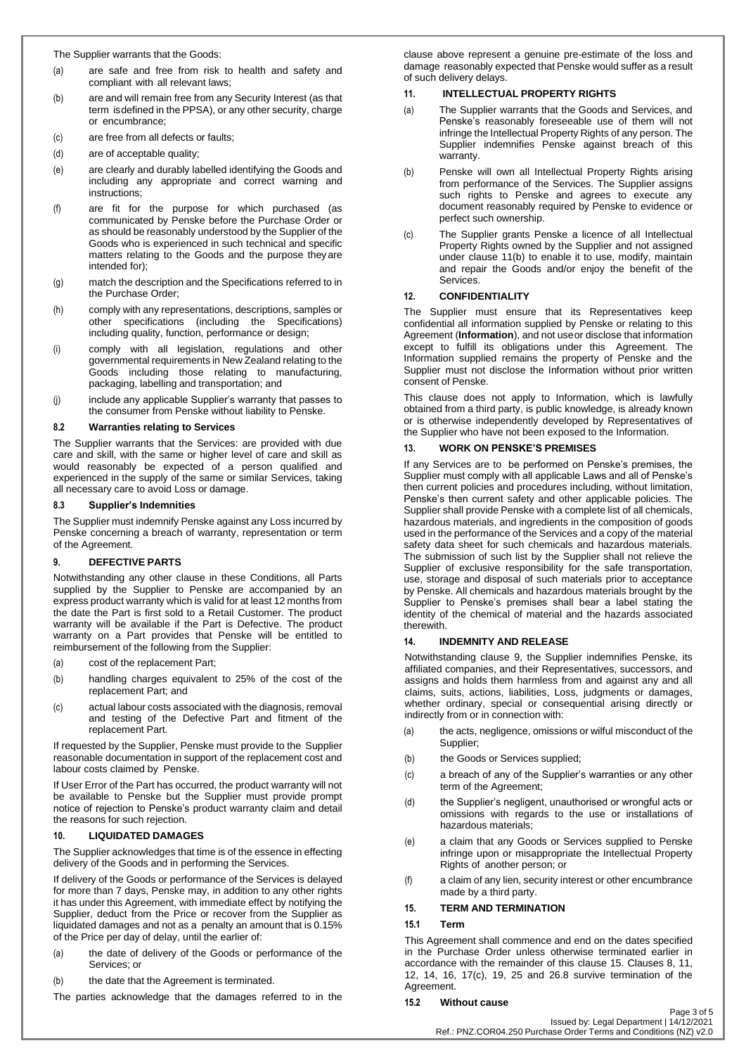The Supplier warrants that the Goods:

- (a) are safe and free from risk to health and safety and compliant with all relevant laws;
- (b) are and will remain free from any Security Interest (as that term isdefined in the PPSA), or any other security, charge or encumbrance;
- (c) are free from all defects or faults;
- (d) are of acceptable quality;
- (e) are clearly and durably labelled identifying the Goods and including any appropriate and correct warning and instructions;
- (f) are fit for the purpose for which purchased (as communicated by Penske before the Purchase Order or as should be reasonably understood by the Supplier of the Goods who is experienced in such technical and specific matters relating to the Goods and the purpose theyare intended for);
- (g) match the description and the Specifications referred to in the Purchase Order;
- (h) comply with any representations, descriptions, samples or other specifications (including the Specifications) including quality, function, performance or design;
- (i) comply with all legislation, regulations and other governmental requirements in New Zealand relating to the Goods including those relating to manufacturing, packaging, labelling and transportation; and
- (j) include any applicable Supplier's warranty that passes to the consumer from Penske without liability to Penske.

## **8.2 Warranties relating to Services**

The Supplier warrants that the Services: are provided with due care and skill, with the same or higher level of care and skill as would reasonably be expected of a person qualified and experienced in the supply of the same or similar Services, taking all necessary care to avoid Loss or damage.

## **8.3 Supplier's Indemnities**

The Supplier must indemnify Penske against any Loss incurred by Penske concerning a breach of warranty, representation or term of the Agreement.

# **9. DEFECTIVE PARTS**

Notwithstanding any other clause in these Conditions, all Parts supplied by the Supplier to Penske are accompanied by an express product warranty which is valid for at least 12 months from the date the Part is first sold to a Retail Customer. The product warranty will be available if the Part is Defective. The product warranty on a Part provides that Penske will be entitled to reimbursement of the following from the Supplier:

- (a) cost of the replacement Part;
- (b) handling charges equivalent to 25% of the cost of the replacement Part; and
- (c) actual labour costs associated with the diagnosis, removal and testing of the Defective Part and fitment of the replacement Part.

If requested by the Supplier, Penske must provide to the Supplier reasonable documentation in support of the replacement cost and labour costs claimed by Penske.

If User Error of the Part has occurred, the product warranty will not be available to Penske but the Supplier must provide prompt notice of rejection to Penske's product warranty claim and detail the reasons for such rejection.

## **10. LIQUIDATED DAMAGES**

The Supplier acknowledges that time is of the essence in effecting delivery of the Goods and in performing the Services.

If delivery of the Goods or performance of the Services is delayed for more than 7 days, Penske may, in addition to any other rights it has under this Agreement, with immediate effect by notifying the Supplier, deduct from the Price or recover from the Supplier as liquidated damages and not as a penalty an amount that is 0.15% of the Price per day of delay, until the earlier of:

- (a) the date of delivery of the Goods or performance of the Services; or
- (b) the date that the Agreement is terminated.

The parties acknowledge that the damages referred to in the

clause above represent a genuine pre-estimate of the loss and damage reasonably expected that Penske would suffer as a result of such delivery delays.

## **11. INTELLECTUAL PROPERTY RIGHTS**

- (a) The Supplier warrants that the Goods and Services, and Penske's reasonably foreseeable use of them will not infringe the Intellectual Property Rights of any person. The Supplier indemnifies Penske against breach of this warranty.
- (b) Penske will own all Intellectual Property Rights arising from performance of the Services. The Supplier assigns such rights to Penske and agrees to execute any document reasonably required by Penske to evidence or perfect such ownership.
- (c) The Supplier grants Penske a licence of all Intellectual Property Rights owned by the Supplier and not assigned under clause 11(b) to enable it to use, modify, maintain and repair the Goods and/or enjoy the benefit of the Services.

## **12. CONFIDENTIALITY**

The Supplier must ensure that its Representatives keep confidential all information supplied by Penske or relating to this Agreement (**Information**), and not useor disclose that information except to fulfill its obligations under this Agreement. The Information supplied remains the property of Penske and the Supplier must not disclose the Information without prior written consent of Penske.

This clause does not apply to Information, which is lawfully obtained from a third party, is public knowledge, is already known or is otherwise independently developed by Representatives of the Supplier who have not been exposed to the Information.

## **13. WORK ON PENSKE'S PREMISES**

If any Services are to be performed on Penske's premises, the Supplier must comply with all applicable Laws and all of Penske's then current policies and procedures including, without limitation, Penske's then current safety and other applicable policies. The Supplier shall provide Penske with a complete list of all chemicals, hazardous materials, and ingredients in the composition of goods used in the performance of the Services and a copy of the material safety data sheet for such chemicals and hazardous materials. The submission of such list by the Supplier shall not relieve the Supplier of exclusive responsibility for the safe transportation, use, storage and disposal of such materials prior to acceptance by Penske. All chemicals and hazardous materials brought by the Supplier to Penske's premises shall bear a label stating the identity of the chemical of material and the hazards associated therewith.

## **14. INDEMNITY AND RELEASE**

Notwithstanding clause [9,](#page-2-0) the Supplier indemnifies Penske, its affiliated companies, and their Representatives, successors, and assigns and holds them harmless from and against any and all claims, suits, actions, liabilities, Loss, judgments or damages, whether ordinary, special or consequential arising directly or indirectly from or in connection with:

- (a) the acts, negligence, omissions or wilful misconduct of the Supplier;
- (b) the Goods or Services supplied;
- (c) a breach of any of the Supplier's warranties or any other term of the Agreement;
- (d) the Supplier's negligent, unauthorised or wrongful acts or omissions with regards to the use or installations of hazardous materials;
- (e) a claim that any Goods or Services supplied to Penske infringe upon or misappropriate the Intellectual Property Rights of another person; or
- (f) a claim of any lien, security interest or other encumbrance made by a third party.

## **15. TERM AND TERMINATION**

## **15.1 Term**

This Agreement shall commence and end on the dates specified in the Purchase Order unless otherwise terminated earlier in accordance with the remainder of this clause 15. Clauses 8, 11, 12, 14, 16, 17(c), 19, 25 and 26.8 survive termination of the Agreement.

## <span id="page-2-0"></span>**15.2 Without cause**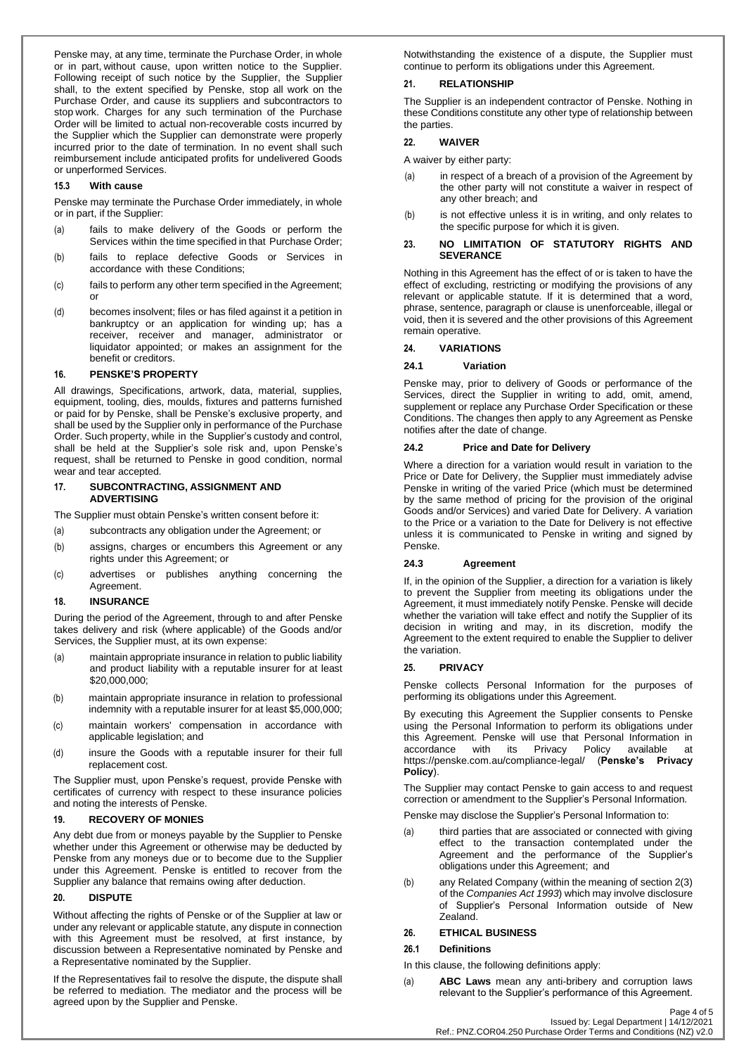Penske may, at any time, terminate the Purchase Order, in whole or in part, without cause, upon written notice to the Supplier. Following receipt of such notice by the Supplier, the Supplier shall, to the extent specified by Penske, stop all work on the Purchase Order, and cause its suppliers and subcontractors to stop work. Charges for any such termination of the Purchase Order will be limited to actual non-recoverable costs incurred by the Supplier which the Supplier can demonstrate were properly incurred prior to the date of termination. In no event shall such reimbursement include anticipated profits for undelivered Goods or unperformed Services.

### **15.3 With cause**

Penske may terminate the Purchase Order immediately, in whole or in part, if the Supplier:

- (a) fails to make delivery of the Goods or perform the Services within the time specified in that Purchase Order;
- (b) fails to replace defective Goods or Services in accordance with these Conditions;
- (c) fails to perform any other term specified in the Agreement; or
- (d) becomes insolvent; files or has filed against it a petition in bankruptcy or an application for winding up; has a receiver, receiver and manager, administrator or liquidator appointed; or makes an assignment for the benefit or creditors.

#### **16. PENSKE'S PROPERTY**

All drawings, Specifications, artwork, data, material, supplies, equipment, tooling, dies, moulds, fixtures and patterns furnished or paid for by Penske, shall be Penske's exclusive property, and shall be used by the Supplier only in performance of the Purchase Order. Such property, while in the Supplier's custody and control, shall be held at the Supplier's sole risk and, upon Penske's request, shall be returned to Penske in good condition, normal wear and tear accepted.

## **17. SUBCONTRACTING, ASSIGNMENT AND ADVERTISING**

The Supplier must obtain Penske's written consent before it:

- (a) subcontracts any obligation under the Agreement; or
- (b) assigns, charges or encumbers this Agreement or any rights under this Agreement; or
- (c) advertises or publishes anything concerning the Agreement.

# **18. INSURANCE**

During the period of the Agreement, through to and after Penske takes delivery and risk (where applicable) of the Goods and/or Services, the Supplier must, at its own expense:

- (a) maintain appropriate insurance in relation to public liability and product liability with a reputable insurer for at least \$20,000,000;
- (b) maintain appropriate insurance in relation to professional indemnity with a reputable insurer for at least \$5,000,000;
- (c) maintain workers' compensation in accordance with applicable legislation; and
- (d) insure the Goods with a reputable insurer for their full replacement cost.

The Supplier must, upon Penske's request, provide Penske with certificates of currency with respect to these insurance policies and noting the interests of Penske.

#### **19. RECOVERY OF MONIES**

Any debt due from or moneys payable by the Supplier to Penske whether under this Agreement or otherwise may be deducted by Penske from any moneys due or to become due to the Supplier under this Agreement. Penske is entitled to recover from the Supplier any balance that remains owing after deduction.

## **20. DISPUTE**

Without affecting the rights of Penske or of the Supplier at law or under any relevant or applicable statute, any dispute in connection with this Agreement must be resolved, at first instance, by discussion between a Representative nominated by Penske and a Representative nominated by the Supplier.

If the Representatives fail to resolve the dispute, the dispute shall be referred to mediation. The mediator and the process will be agreed upon by the Supplier and Penske.

Notwithstanding the existence of a dispute, the Supplier must continue to perform its obligations under this Agreement.

## **21. RELATIONSHIP**

The Supplier is an independent contractor of Penske. Nothing in these Conditions constitute any other type of relationship between the parties.

## **22. WAIVER**

A waiver by either party:

- (a) in respect of a breach of a provision of the Agreement by the other party will not constitute a waiver in respect of any other breach; and
- (b) is not effective unless it is in writing, and only relates to the specific purpose for which it is given.

#### **23. NO LIMITATION OF STATUTORY RIGHTS AND SEVERANCE**

Nothing in this Agreement has the effect of or is taken to have the effect of excluding, restricting or modifying the provisions of any relevant or applicable statute. If it is determined that a word, phrase, sentence, paragraph or clause is unenforceable, illegal or void, then it is severed and the other provisions of this Agreement remain operative.

#### **24. VARIATIONS**

#### **24.1 Variation**

Penske may, prior to delivery of Goods or performance of the Services, direct the Supplier in writing to add, omit, amend, supplement or replace any Purchase Order Specification or these Conditions. The changes then apply to any Agreement as Penske notifies after the date of change.

## **24.2 Price and Date for Delivery**

Where a direction for a variation would result in variation to the Price or Date for Delivery, the Supplier must immediately advise Penske in writing of the varied Price (which must be determined by the same method of pricing for the provision of the original Goods and/or Services) and varied Date for Delivery. A variation to the Price or a variation to the Date for Delivery is not effective unless it is communicated to Penske in writing and signed by Penske.

## **24.3 Agreement**

If, in the opinion of the Supplier, a direction for a variation is likely to prevent the Supplier from meeting its obligations under the Agreement, it must immediately notify Penske. Penske will decide whether the variation will take effect and notify the Supplier of its decision in writing and may, in its discretion, modify the Agreement to the extent required to enable the Supplier to deliver the variation.

#### **25. PRIVACY**

Penske collects Personal Information for the purposes of performing its obligations under this Agreement.

By executing this Agreement the Supplier consents to Penske using the Personal Information to perform its obligations under this Agreement. Penske will use that Personal Information in accordance with its Privacy Policy available at accordance with its Privacy Policy available at https://penske.com.au/compliance-legal/ (**Penske's Privacy Policy**).

The Supplier may contact Penske to gain access to and request correction or amendment to the Supplier's Personal Information.

Penske may disclose the Supplier's Personal Information to:

- (a) third parties that are associated or connected with giving effect to the transaction contemplated under the Agreement and the performance of the Supplier's obligations under this Agreement; and
- (b) any Related Company (within the meaning of section 2(3) of the *Companies Act 1993*) which may involve disclosure of Supplier's Personal Information outside of New Zealand.

## **26. ETHICAL BUSINESS**

#### **26.1 Definitions**

In this clause, the following definitions apply:

(a) **ABC Laws** mean any anti-bribery and corruption laws relevant to the Supplier's performance of this Agreement.